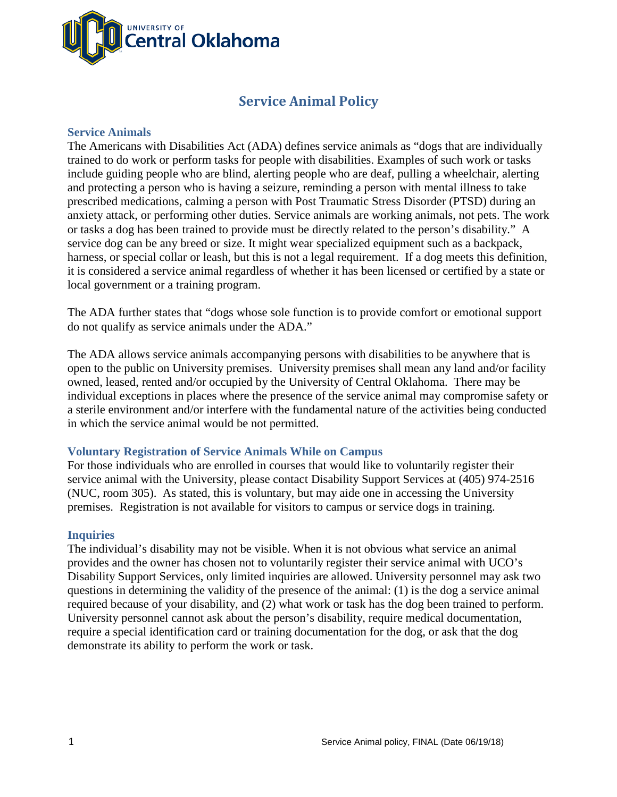

# **Service Animal Policy**

#### **Service Animals**

The Americans with Disabilities Act (ADA) defines service animals as "dogs that are individually trained to do work or perform tasks for people with disabilities. Examples of such work or tasks include guiding people who are blind, alerting people who are deaf, pulling a wheelchair, alerting and protecting a person who is having a seizure, reminding a person with mental illness to take prescribed medications, calming a person with Post Traumatic Stress Disorder (PTSD) during an anxiety attack, or performing other duties. Service animals are working animals, not pets. The work or tasks a dog has been trained to provide must be directly related to the person's disability." A service dog can be any breed or size. It might wear specialized equipment such as a backpack, harness, or special collar or leash, but this is not a legal requirement. If a dog meets this definition, it is considered a service animal regardless of whether it has been licensed or certified by a state or local government or a training program.

The ADA further states that "dogs whose sole function is to provide comfort or emotional support do not qualify as service animals under the ADA."

The ADA allows service animals accompanying persons with disabilities to be anywhere that is open to the public on University premises. University premises shall mean any land and/or facility owned, leased, rented and/or occupied by the University of Central Oklahoma. There may be individual exceptions in places where the presence of the service animal may compromise safety or a sterile environment and/or interfere with the fundamental nature of the activities being conducted in which the service animal would be not permitted.

## **Voluntary Registration of Service Animals While on Campus**

For those individuals who are enrolled in courses that would like to voluntarily register their service animal with the University, please contact Disability Support Services at (405) 974-2516 (NUC, room 305). As stated, this is voluntary, but may aide one in accessing the University premises. Registration is not available for visitors to campus or service dogs in training.

#### **Inquiries**

The individual's disability may not be visible. When it is not obvious what service an animal provides and the owner has chosen not to voluntarily register their service animal with UCO's Disability Support Services, only limited inquiries are allowed. University personnel may ask two questions in determining the validity of the presence of the animal: (1) is the dog a service animal required because of your disability, and (2) what work or task has the dog been trained to perform. University personnel cannot ask about the person's disability, require medical documentation, require a special identification card or training documentation for the dog, or ask that the dog demonstrate its ability to perform the work or task.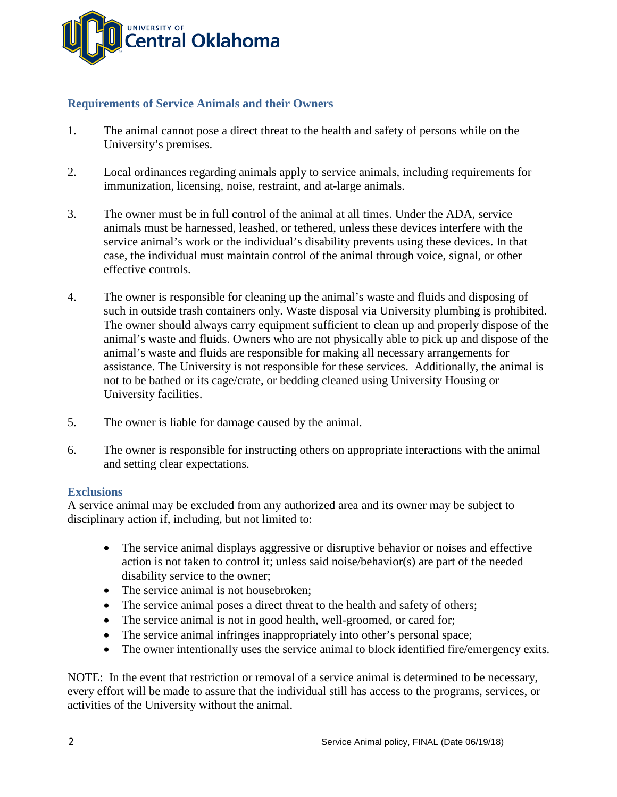

# **Requirements of Service Animals and their Owners**

- 1. The animal cannot pose a direct threat to the health and safety of persons while on the University's premises.
- 2. Local ordinances regarding animals apply to service animals, including requirements for immunization, licensing, noise, restraint, and at-large animals.
- 3. The owner must be in full control of the animal at all times. Under the ADA, service animals must be harnessed, leashed, or tethered, unless these devices interfere with the service animal's work or the individual's disability prevents using these devices. In that case, the individual must maintain control of the animal through voice, signal, or other effective controls.
- 4. The owner is responsible for cleaning up the animal's waste and fluids and disposing of such in outside trash containers only. Waste disposal via University plumbing is prohibited. The owner should always carry equipment sufficient to clean up and properly dispose of the animal's waste and fluids. Owners who are not physically able to pick up and dispose of the animal's waste and fluids are responsible for making all necessary arrangements for assistance. The University is not responsible for these services. Additionally, the animal is not to be bathed or its cage/crate, or bedding cleaned using University Housing or University facilities.
- 5. The owner is liable for damage caused by the animal.
- 6. The owner is responsible for instructing others on appropriate interactions with the animal and setting clear expectations.

## **Exclusions**

A service animal may be excluded from any authorized area and its owner may be subject to disciplinary action if, including, but not limited to:

- The service animal displays aggressive or disruptive behavior or noises and effective action is not taken to control it; unless said noise/behavior(s) are part of the needed disability service to the owner;
- The service animal is not housebroken;
- The service animal poses a direct threat to the health and safety of others;
- The service animal is not in good health, well-groomed, or cared for;
- The service animal infringes inappropriately into other's personal space;
- The owner intentionally uses the service animal to block identified fire/emergency exits.

NOTE: In the event that restriction or removal of a service animal is determined to be necessary, every effort will be made to assure that the individual still has access to the programs, services, or activities of the University without the animal.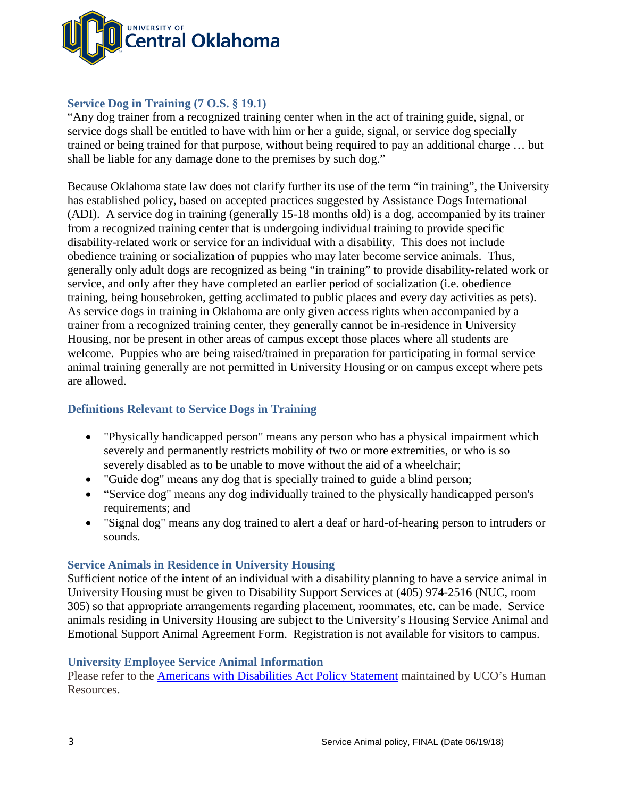

# **Service Dog in Training (7 O.S. § 19.1)**

"Any dog trainer from a recognized training center when in the act of training guide, signal, or service dogs shall be entitled to have with him or her a guide, signal, or service dog specially trained or being trained for that purpose, without being required to pay an additional charge … but shall be liable for any damage done to the premises by such dog."

Because Oklahoma state law does not clarify further its use of the term "in training", the University has established policy, based on accepted practices suggested by Assistance Dogs International (ADI). A service dog in training (generally 15-18 months old) is a dog, accompanied by its trainer from a recognized training center that is undergoing individual training to provide specific disability-related work or service for an individual with a disability. This does not include obedience training or socialization of puppies who may later become service animals. Thus, generally only adult dogs are recognized as being "in training" to provide disability-related work or service, and only after they have completed an earlier period of socialization (i.e. obedience training, being housebroken, getting acclimated to public places and every day activities as pets). As service dogs in training in Oklahoma are only given access rights when accompanied by a trainer from a recognized training center, they generally cannot be in-residence in University Housing, nor be present in other areas of campus except those places where all students are welcome. Puppies who are being raised/trained in preparation for participating in formal service animal training generally are not permitted in University Housing or on campus except where pets are allowed.

# **Definitions Relevant to Service Dogs in Training**

- "Physically handicapped person" means any person who has a physical impairment which severely and permanently restricts mobility of two or more extremities, or who is so severely disabled as to be unable to move without the aid of a wheelchair;
- "Guide dog" means any dog that is specially trained to guide a blind person;
- "Service dog" means any dog individually trained to the physically handicapped person's requirements; and
- "Signal dog" means any dog trained to alert a deaf or hard-of-hearing person to intruders or sounds.

## **Service Animals in Residence in University Housing**

Sufficient notice of the intent of an individual with a disability planning to have a service animal in University Housing must be given to Disability Support Services at (405) 974-2516 (NUC, room 305) so that appropriate arrangements regarding placement, roommates, etc. can be made. Service animals residing in University Housing are subject to the University's Housing Service Animal and Emotional Support Animal Agreement Form. Registration is not available for visitors to campus.

## **University Employee Service Animal Information**

Please refer to the [Americans with Disabilities Act Policy Statement](http://sites.uco.edu/administration/policies-and-procedures1/policy-files/americans_with_disabilities_act_policy_statement.pdf) maintained by UCO's Human Resources.